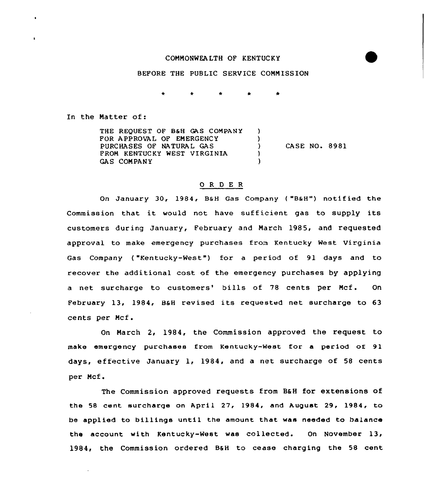## COMMONWEALTH OF KENTUCKY

## BEFORE THE PUBLIC SERVICE COMMISSION

In the Natter of:

THE REQUEST OF B&H GAS COMPANY  $\lambda$ FOR APPROVAL OF EMERGENCY  $\lambda$ PURCHASES OF NATURAL GAS  $\lambda$ CASE NO. 8981 FROM KENTUCKY WEST VIRGINIA  $\lambda$ **GAS COMPANY**  $\lambda$ 

## 0 R <sup>D</sup> E <sup>R</sup>

On January 30, 1984, B&H Gas Company ("B&H") notified the Commission that it would not have sufficient gas to supply its customers during January, February and Narch 1985, and requested approval to make emergency purchases from Kentucky West Virginia Gas Company ("Kentucky-West") for a period of 91 days and to recover the additional cost of the emergency purchases by applying a net surcharge to customers' bills of 78 cents per Mcf. On February 13, 1984, 86H revised its requested net surcharge to 63 cents per Mcf.

On March 2, 1984, the Commission approved the request to make emergency purchases from Kentucky-West for a period of 91 days, effective January 1, 1984, and a net surcharge of 58 cents per Ncf.

The Commission approved requests from BaH for extensions of the 58 cent surcharqe on April 27, 1984, and August 29, 1984, to be applied to billings until the amount that wae needed to balance the account with Kentucky-West was collected. On November 13, 1984, the Commission ordered B&H to cease charging the 58 cent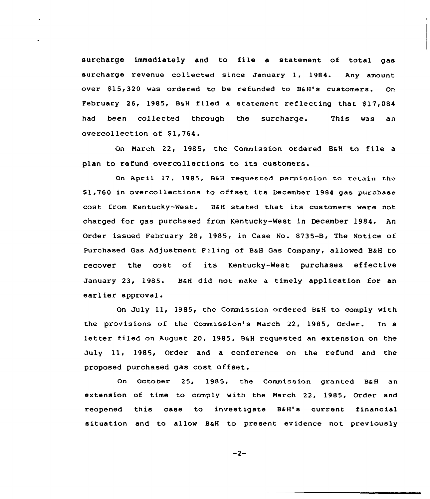surcharge immediately and to file <sup>a</sup> statement of total gas surcharge revenue collected since January 1, 1984. Any amount over \$15,320 was ordered to be refunded to B&H's customers. On February 26, 1985, B&H filed a statement reflecting that \$17,084 had been collected through the surcharge. overcollection of \$1,764. This was an

On March 22, 1985, the Commission ordered BaH to file a plan to refund overcollections to its customers.

On April 17, 1985, B6H requested permission to retain the 81,760 in overcollections to offset its December 1984 gas purchase cost from Kentucky-West. BaH stated that its customers were not charged for gas purchased from Kentucky-West in December 1984. An Order issued February 28, 1985, in Case No. 8735-B, The Notice of Purchased Gas Adjustment Filing of B&H Gas Company, allowed B&H to recover the cost of its Kentucky-West purchases effective January 23, 1985. B&H did not make a timely application for an earlier approval.

On July 11, 1985, the Commission ordered B&H to comply with the provisions of the Commission's March 22, 1985, Order. In a letter filed on August 20, 1985, B&H requested an extension on the July ll, 1985, Order and <sup>a</sup> conference on the refund and the proposed purchased gas cost offset.

On October 25, 1985, the Commission granted BaH an extension of time to comply with the March 22, 1985, Order and reopened this case to investigate BaH's current financial situation and to allow B&H to present evidence not previously

$$
-2-
$$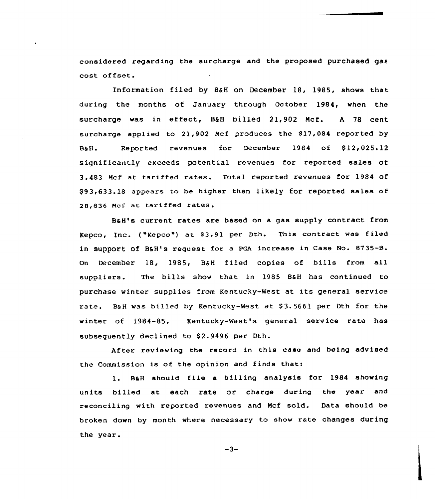considered regard ing the surcharge and the proposed purchased gas cost offset

Information filed by B&H on December 18, 1985, shows that during the months of January through October 1984, when the surcharge was in effect, BkH billed 21,902 Ncf. <sup>A</sup> <sup>78</sup> cent surcharge applied to  $21,902$  Mcf produces the  $$17,084$  reported by B&H. Reported revenues for December 1984 of \$12,025.12 significantly exceeds potential revenues for reported sales of 3,483 Ncf at tari ffed rates. Total reported revenues for 1984 of \$93,633.18 appears to be higher than likely for reported sales of 28,836 Mcf at tariffed rates.

B&H's current rates are based on a gas supply contract from Kepco, Inc. ("Kepco") at \$3.91 per Dth. This contract was filed in support of B&H's request for a PGA increase in Case No. 8735-B. On December 18, 1985, B&H filed copies of bills from all suppliers. The bills show that in 1985 B6H has continued to purchase winter supplies from Kentucky-West at its general service rate. B&H was billed by Kentucky-West at \$3.5661 per Dth for the winter of 1984-85. Kentucky-West's general service rate has subsequently declined to \$2.9496 per Dth.

After reviewing the record in this case and being advised the Commission is of the opinion and finds that:

1. BaH should file <sup>a</sup> billing analysis for 19&4 showing units billed at each rate or charge during the year and reconciling with reported revenues and Ncf sold. Data should be broken down by month where necessary to show rate changes during the year.

 $-3-$